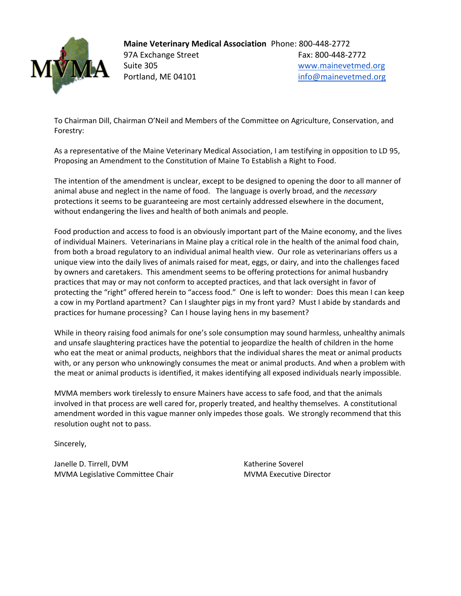

**Maine Veterinary Medical Association** Phone: 800-448-2772 97A Exchange Street Fax: 800-448-2772 Suite 305 [www.mainevetmed.org](http://www.mainevetmed.org/) Portland, ME 04101 and the main [info@mainevetmed.org](mailto:info@mainevetmed.org)

To Chairman Dill, Chairman O'Neil and Members of the Committee on Agriculture, Conservation, and Forestry:

As a representative of the Maine Veterinary Medical Association, I am testifying in opposition to LD 95, Proposing an Amendment to the Constitution of Maine To Establish a Right to Food.

The intention of the amendment is unclear, except to be designed to opening the door to all manner of animal abuse and neglect in the name of food. The language is overly broad, and the *necessary* protections it seems to be guaranteeing are most certainly addressed elsewhere in the document, without endangering the lives and health of both animals and people.

Food production and access to food is an obviously important part of the Maine economy, and the lives of individual Mainers. Veterinarians in Maine play a critical role in the health of the animal food chain, from both a broad regulatory to an individual animal health view. Our role as veterinarians offers us a unique view into the daily lives of animals raised for meat, eggs, or dairy, and into the challenges faced by owners and caretakers. This amendment seems to be offering protections for animal husbandry practices that may or may not conform to accepted practices, and that lack oversight in favor of protecting the "right" offered herein to "access food." One is left to wonder: Does this mean I can keep a cow in my Portland apartment? Can I slaughter pigs in my front yard? Must I abide by standards and practices for humane processing? Can I house laying hens in my basement?

While in theory raising food animals for one's sole consumption may sound harmless, unhealthy animals and unsafe slaughtering practices have the potential to jeopardize the health of children in the home who eat the meat or animal products, neighbors that the individual shares the meat or animal products with, or any person who unknowingly consumes the meat or animal products. And when a problem with the meat or animal products is identified, it makes identifying all exposed individuals nearly impossible.

MVMA members work tirelessly to ensure Mainers have access to safe food, and that the animals involved in that process are well cared for, properly treated, and healthy themselves. A constitutional amendment worded in this vague manner only impedes those goals. We strongly recommend that this resolution ought not to pass.

Sincerely,

Janelle D. Tirrell, DVM Katherine Soverel MVMA Legislative Committee Chair MVMA Executive Director